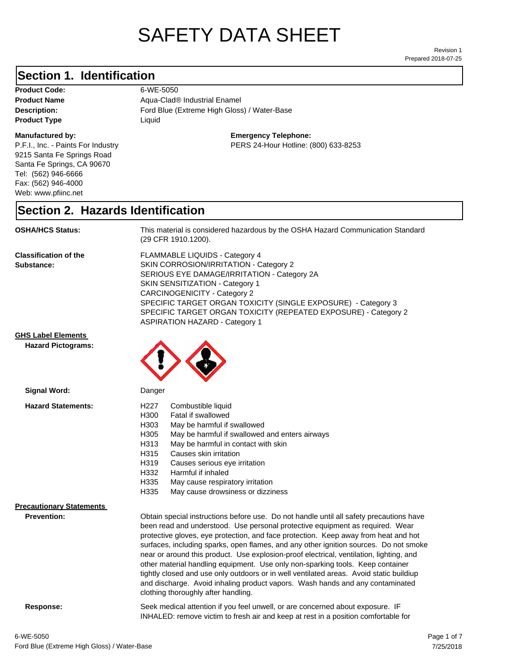# SAFETY DATA SHEET

Prepared 2018-07-25 Revision 1

### **Section 1. Identification**

**Product Code:** 6-WE-5050 **Product Type Liquid Liquid** 

#### **Manufactured by:**

P.F.I., Inc. - Paints For Industry 9215 Santa Fe Springs Road Santa Fe Springs, CA 90670 Tel: (562) 946-6666 Fax: (562) 946-4000 Web: www.pfiinc.net

**Product Name Aqua-Clad® Industrial Enamel** 

Description: **Extreme High Gloss**) / Water-Base Ford Blue (Extreme High Gloss) / Water-Base

**Emergency Telephone:**

PERS 24-Hour Hotline: (800) 633-8253

#### **Section 2. Hazards Identification**

**OSHA/HCS Status:** This material is considered hazardous by the OSHA Hazard Communication Standard (29 CFR 1910.1200).

**Classification of the Substance:**

FLAMMABLE LIQUIDS - Category 4 SKIN CORROSION/IRRITATION - Category 2 SERIOUS EYE DAMAGE/IRRITATION - Category 2A SKIN SENSITIZATION - Category 1 CARCINOGENICITY - Category 2 SPECIFIC TARGET ORGAN TOXICITY (SINGLE EXPOSURE) - Category 3 SPECIFIC TARGET ORGAN TOXICITY (REPEATED EXPOSURE) - Category 2 ASPIRATION HAZARD - Category 1

INHALED: remove victim to fresh air and keep at rest in a position comfortable for

**GHS Label Elements**

**Hazard Pictograms:**



| Signal Word:                                          | Danger                                                                                                                                                                                                                                                                                                                                                                                                                                                                                                                                                                                                                                                                                                                                                   |
|-------------------------------------------------------|----------------------------------------------------------------------------------------------------------------------------------------------------------------------------------------------------------------------------------------------------------------------------------------------------------------------------------------------------------------------------------------------------------------------------------------------------------------------------------------------------------------------------------------------------------------------------------------------------------------------------------------------------------------------------------------------------------------------------------------------------------|
| <b>Hazard Statements:</b>                             | H227<br>Combustible liquid<br>H300<br>Fatal if swallowed<br>H303<br>May be harmful if swallowed<br>H305<br>May be harmful if swallowed and enters airways<br>May be harmful in contact with skin<br>H313<br>H315<br>Causes skin irritation<br>H319<br>Causes serious eye irritation<br>H332<br>Harmful if inhaled<br>H335<br>May cause respiratory irritation<br>H335<br>May cause drowsiness or dizziness                                                                                                                                                                                                                                                                                                                                               |
| <b>Precautionary Statements</b><br><b>Prevention:</b> | Obtain special instructions before use. Do not handle until all safety precautions have<br>been read and understood. Use personal protective equipment as required. Wear<br>protective gloves, eye protection, and face protection. Keep away from heat and hot<br>surfaces, including sparks, open flames, and any other ignition sources. Do not smoke<br>near or around this product. Use explosion-proof electrical, ventilation, lighting, and<br>other material handling equipment. Use only non-sparking tools. Keep container<br>tightly closed and use only outdoors or in well ventilated areas. Avoid static buildiup<br>and discharge. Avoid inhaling product vapors. Wash hands and any contaminated<br>clothing thoroughly after handling. |
| Response:                                             | Seek medical attention if you feel unwell, or are concerned about exposure. IF                                                                                                                                                                                                                                                                                                                                                                                                                                                                                                                                                                                                                                                                           |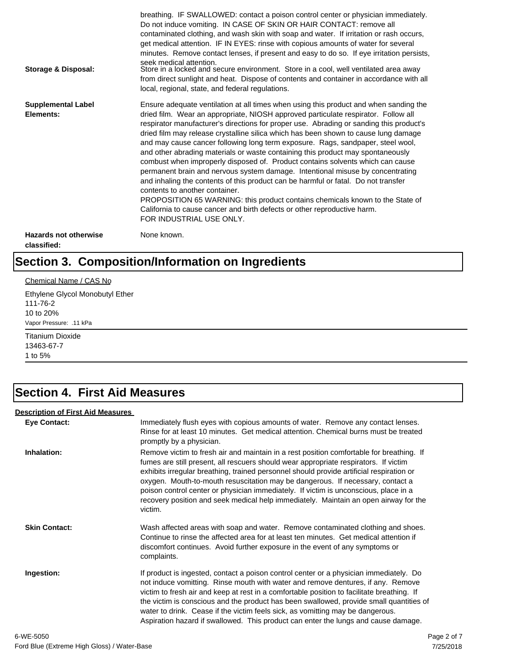| Storage & Disposal:                         | breathing. IF SWALLOWED: contact a poison control center or physician immediately.<br>Do not induce vomiting. IN CASE OF SKIN OR HAIR CONTACT: remove all<br>contaminated clothing, and wash skin with soap and water. If irritation or rash occurs,<br>get medical attention. IF IN EYES: rinse with copious amounts of water for several<br>minutes. Remove contact lenses, if present and easy to do so. If eye irritation persists,<br>seek medical attention.<br>Store in a locked and secure environment. Store in a cool, well ventilated area away<br>from direct sunlight and heat. Dispose of contents and container in accordance with all<br>local, regional, state, and federal regulations.                                                                                                                                                                                                                                                                                                                |
|---------------------------------------------|--------------------------------------------------------------------------------------------------------------------------------------------------------------------------------------------------------------------------------------------------------------------------------------------------------------------------------------------------------------------------------------------------------------------------------------------------------------------------------------------------------------------------------------------------------------------------------------------------------------------------------------------------------------------------------------------------------------------------------------------------------------------------------------------------------------------------------------------------------------------------------------------------------------------------------------------------------------------------------------------------------------------------|
| <b>Supplemental Label</b><br>Elements:      | Ensure adequate ventilation at all times when using this product and when sanding the<br>dried film. Wear an appropriate, NIOSH approved particulate respirator. Follow all<br>respirator manufacturer's directions for proper use. Abrading or sanding this product's<br>dried film may release crystalline silica which has been shown to cause lung damage<br>and may cause cancer following long term exposure. Rags, sandpaper, steel wool,<br>and other abrading materials or waste containing this product may spontaneously<br>combust when improperly disposed of. Product contains solvents which can cause<br>permanent brain and nervous system damage. Intentional misuse by concentrating<br>and inhaling the contents of this product can be harmful or fatal. Do not transfer<br>contents to another container.<br>PROPOSITION 65 WARNING: this product contains chemicals known to the State of<br>California to cause cancer and birth defects or other reproductive harm.<br>FOR INDUSTRIAL USE ONLY. |
| <b>Hazards not otherwise</b><br>classified: | None known.                                                                                                                                                                                                                                                                                                                                                                                                                                                                                                                                                                                                                                                                                                                                                                                                                                                                                                                                                                                                              |

# **Section 3. Composition/Information on Ingredients**

#### Chemical Name / CAS No

Ethylene Glycol Monobutyl Ether 111-76-2 10 to 20% Vapor Pressure: .11 kPa

Titanium Dioxide 13463-67-7 1 to 5%

### **Section 4. First Aid Measures**

#### **Description of First Aid Measures**

| <b>Eye Contact:</b>  | Immediately flush eyes with copious amounts of water. Remove any contact lenses.<br>Rinse for at least 10 minutes. Get medical attention. Chemical burns must be treated<br>promptly by a physician.                                                                                                                                                                                                                                                                                                                                                      |
|----------------------|-----------------------------------------------------------------------------------------------------------------------------------------------------------------------------------------------------------------------------------------------------------------------------------------------------------------------------------------------------------------------------------------------------------------------------------------------------------------------------------------------------------------------------------------------------------|
| Inhalation:          | Remove victim to fresh air and maintain in a rest position comfortable for breathing. If<br>fumes are still present, all rescuers should wear appropriate respirators. If victim<br>exhibits irregular breathing, trained personnel should provide artificial respiration or<br>oxygen. Mouth-to-mouth resuscitation may be dangerous. If necessary, contact a<br>poison control center or physician immediately. If victim is unconscious, place in a<br>recovery position and seek medical help immediately. Maintain an open airway for the<br>victim. |
| <b>Skin Contact:</b> | Wash affected areas with soap and water. Remove contaminated clothing and shoes.<br>Continue to rinse the affected area for at least ten minutes. Get medical attention if<br>discomfort continues. Avoid further exposure in the event of any symptoms or<br>complaints.                                                                                                                                                                                                                                                                                 |
| Ingestion:           | If product is ingested, contact a poison control center or a physician immediately. Do<br>not induce vomitting. Rinse mouth with water and remove dentures, if any. Remove<br>victim to fresh air and keep at rest in a comfortable position to facilitate breathing. If<br>the victim is conscious and the product has been swallowed, provide small quantities of<br>water to drink. Cease if the victim feels sick, as vomitting may be dangerous.<br>Aspiration hazard if swallowed. This product can enter the lungs and cause damage.               |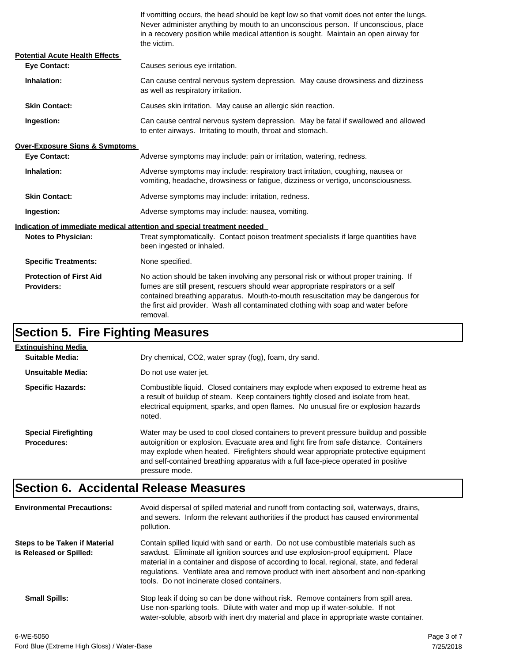If vomitting occurs, the head should be kept low so that vomit does not enter the lungs. Never administer anything by mouth to an unconscious person. If unconscious, place in a recovery position while medical attention is sought. Maintain an open airway for the victim.

| <b>Potential Acute Health Effects</b>               |                                                                                                                                                                                                                                                                                                                                                              |  |
|-----------------------------------------------------|--------------------------------------------------------------------------------------------------------------------------------------------------------------------------------------------------------------------------------------------------------------------------------------------------------------------------------------------------------------|--|
| <b>Eve Contact:</b>                                 | Causes serious eye irritation.                                                                                                                                                                                                                                                                                                                               |  |
| Inhalation:                                         | Can cause central nervous system depression. May cause drowsiness and dizziness<br>as well as respiratory irritation.                                                                                                                                                                                                                                        |  |
| <b>Skin Contact:</b>                                | Causes skin irritation. May cause an allergic skin reaction.                                                                                                                                                                                                                                                                                                 |  |
| Ingestion:                                          | Can cause central nervous system depression. May be fatal if swallowed and allowed<br>to enter airways. Irritating to mouth, throat and stomach.                                                                                                                                                                                                             |  |
| <b>Over-Exposure Signs &amp; Symptoms</b>           |                                                                                                                                                                                                                                                                                                                                                              |  |
| <b>Eve Contact:</b>                                 | Adverse symptoms may include: pain or irritation, watering, redness.                                                                                                                                                                                                                                                                                         |  |
| Inhalation:                                         | Adverse symptoms may include: respiratory tract irritation, coughing, nausea or<br>vomiting, headache, drowsiness or fatigue, dizziness or vertigo, unconsciousness.                                                                                                                                                                                         |  |
| <b>Skin Contact:</b>                                | Adverse symptoms may include: irritation, redness.                                                                                                                                                                                                                                                                                                           |  |
| Ingestion:                                          | Adverse symptoms may include: nausea, vomiting.                                                                                                                                                                                                                                                                                                              |  |
|                                                     | Indication of immediate medical attention and special treatment needed                                                                                                                                                                                                                                                                                       |  |
| <b>Notes to Physician:</b>                          | Treat symptomatically. Contact poison treatment specialists if large quantities have<br>been ingested or inhaled.                                                                                                                                                                                                                                            |  |
| <b>Specific Treatments:</b>                         | None specified.                                                                                                                                                                                                                                                                                                                                              |  |
| <b>Protection of First Aid</b><br><b>Providers:</b> | No action should be taken involving any personal risk or without proper training. If<br>fumes are still present, rescuers should wear appropriate respirators or a self<br>contained breathing apparatus. Mouth-to-mouth resuscitation may be dangerous for<br>the first aid provider. Wash all contaminated clothing with soap and water before<br>removal. |  |

# **Section 5. Fire Fighting Measures**

| Extinguishing Media                               |                                                                                                                                                                                                                                                                                                                                                                              |
|---------------------------------------------------|------------------------------------------------------------------------------------------------------------------------------------------------------------------------------------------------------------------------------------------------------------------------------------------------------------------------------------------------------------------------------|
| Suitable Media:                                   | Dry chemical, CO2, water spray (fog), foam, dry sand.                                                                                                                                                                                                                                                                                                                        |
| Unsuitable Media:                                 | Do not use water jet.                                                                                                                                                                                                                                                                                                                                                        |
| <b>Specific Hazards:</b>                          | Combustible liquid. Closed containers may explode when exposed to extreme heat as<br>a result of buildup of steam. Keep containers tightly closed and isolate from heat,<br>electrical equipment, sparks, and open flames. No unusual fire or explosion hazards<br>noted.                                                                                                    |
| <b>Special Firefighting</b><br><b>Procedures:</b> | Water may be used to cool closed containers to prevent pressure buildup and possible<br>autoignition or explosion. Evacuate area and fight fire from safe distance. Containers<br>may explode when heated. Firefighters should wear appropriate protective equipment<br>and self-contained breathing apparatus with a full face-piece operated in positive<br>pressure mode. |

#### **Section 6. Accidental Release Measures**

| <b>Environmental Precautions:</b>                        | Avoid dispersal of spilled material and runoff from contacting soil, waterways, drains,<br>and sewers. Inform the relevant authorities if the product has caused environmental<br>pollution.                                                                                                                                                                                                              |
|----------------------------------------------------------|-----------------------------------------------------------------------------------------------------------------------------------------------------------------------------------------------------------------------------------------------------------------------------------------------------------------------------------------------------------------------------------------------------------|
| Steps to be Taken if Material<br>is Released or Spilled: | Contain spilled liquid with sand or earth. Do not use combustible materials such as<br>sawdust. Eliminate all ignition sources and use explosion-proof equipment. Place<br>material in a container and dispose of according to local, regional, state, and federal<br>regulations. Ventilate area and remove product with inert absorbent and non-sparking<br>tools. Do not incinerate closed containers. |
| <b>Small Spills:</b>                                     | Stop leak if doing so can be done without risk. Remove containers from spill area.<br>Use non-sparking tools. Dilute with water and mop up if water-soluble. If not<br>water-soluble, absorb with inert dry material and place in appropriate waste container.                                                                                                                                            |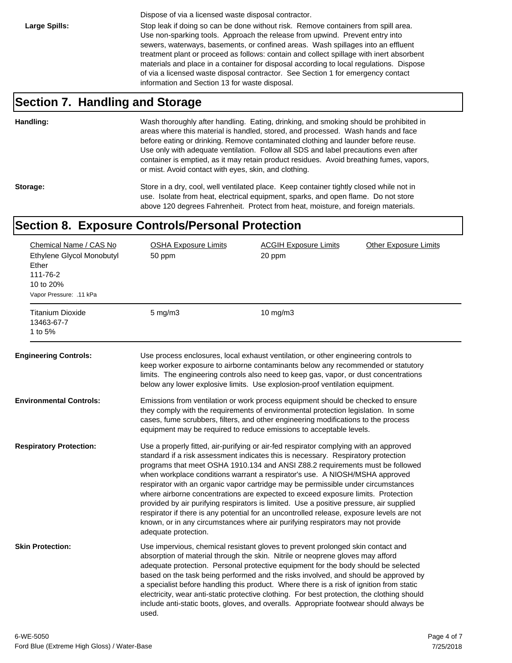Dispose of via a licensed waste disposal contractor.

Large Spills: Stop leak if doing so can be done without risk. Remove containers from spill area. Use non-sparking tools. Approach the release from upwind. Prevent entry into sewers, waterways, basements, or confined areas. Wash spillages into an effluent treatment plant or proceed as follows: contain and collect spillage with inert absorbent materials and place in a container for disposal according to local regulations. Dispose of via a licensed waste disposal contractor. See Section 1 for emergency contact information and Section 13 for waste disposal.

#### **Section 7. Handling and Storage**

**Handling:** Wash thoroughly after handling. Eating, drinking, and smoking should be prohibited in areas where this material is handled, stored, and processed. Wash hands and face before eating or drinking. Remove contaminated clothing and launder before reuse. Use only with adequate ventilation. Follow all SDS and label precautions even after container is emptied, as it may retain product residues. Avoid breathing fumes, vapors, or mist. Avoid contact with eyes, skin, and clothing.

Storage: Store in a dry, cool, well ventilated place. Keep container tightly closed while not in use. Isolate from heat, electrical equipment, sparks, and open flame. Do not store above 120 degrees Fahrenheit. Protect from heat, moisture, and foreign materials.

#### **Section 8. Exposure Controls/Personal Protection**

| Chemical Name / CAS No<br>Ethylene Glycol Monobutyl<br>Ether<br>111-76-2<br>10 to 20%<br>Vapor Pressure: .11 kPa<br><b>Titanium Dioxide</b><br>13463-67-7 | <b>OSHA Exposure Limits</b><br>50 ppm<br>$5$ mg/m $3$ | <b>ACGIH Exposure Limits</b><br>20 ppm<br>$10$ mg/m $3$                                                                                                                                                                                                                                                                                                                                                                                                                                                                                                                                                                                                                                                                                                                                       | <b>Other Exposure Limits</b> |
|-----------------------------------------------------------------------------------------------------------------------------------------------------------|-------------------------------------------------------|-----------------------------------------------------------------------------------------------------------------------------------------------------------------------------------------------------------------------------------------------------------------------------------------------------------------------------------------------------------------------------------------------------------------------------------------------------------------------------------------------------------------------------------------------------------------------------------------------------------------------------------------------------------------------------------------------------------------------------------------------------------------------------------------------|------------------------------|
| 1 to 5%                                                                                                                                                   |                                                       |                                                                                                                                                                                                                                                                                                                                                                                                                                                                                                                                                                                                                                                                                                                                                                                               |                              |
| <b>Engineering Controls:</b>                                                                                                                              |                                                       | Use process enclosures, local exhaust ventilation, or other engineering controls to<br>keep worker exposure to airborne contaminants below any recommended or statutory<br>limits. The engineering controls also need to keep gas, vapor, or dust concentrations<br>below any lower explosive limits. Use explosion-proof ventilation equipment.                                                                                                                                                                                                                                                                                                                                                                                                                                              |                              |
| <b>Environmental Controls:</b>                                                                                                                            |                                                       | Emissions from ventilation or work process equipment should be checked to ensure<br>they comply with the requirements of environmental protection legislation. In some<br>cases, fume scrubbers, filters, and other engineering modifications to the process<br>equipment may be required to reduce emissions to acceptable levels.                                                                                                                                                                                                                                                                                                                                                                                                                                                           |                              |
| <b>Respiratory Protection:</b>                                                                                                                            | adequate protection.                                  | Use a properly fitted, air-purifying or air-fed respirator complying with an approved<br>standard if a risk assessment indicates this is necessary. Respiratory protection<br>programs that meet OSHA 1910.134 and ANSI Z88.2 requirements must be followed<br>when workplace conditions warrant a respirator's use. A NIOSH/MSHA approved<br>respirator with an organic vapor cartridge may be permissible under circumstances<br>where airborne concentrations are expected to exceed exposure limits. Protection<br>provided by air purifying respirators is limited. Use a positive pressure, air supplied<br>respirator if there is any potential for an uncontrolled release, exposure levels are not<br>known, or in any circumstances where air purifying respirators may not provide |                              |
| <b>Skin Protection:</b>                                                                                                                                   | used.                                                 | Use impervious, chemical resistant gloves to prevent prolonged skin contact and<br>absorption of material through the skin. Nitrile or neoprene gloves may afford<br>adequate protection. Personal protective equipment for the body should be selected<br>based on the task being performed and the risks involved, and should be approved by<br>a specialist before handling this product. Where there is a risk of ignition from static<br>electricity, wear anti-static protective clothing. For best protection, the clothing should<br>include anti-static boots, gloves, and overalls. Appropriate footwear should always be                                                                                                                                                           |                              |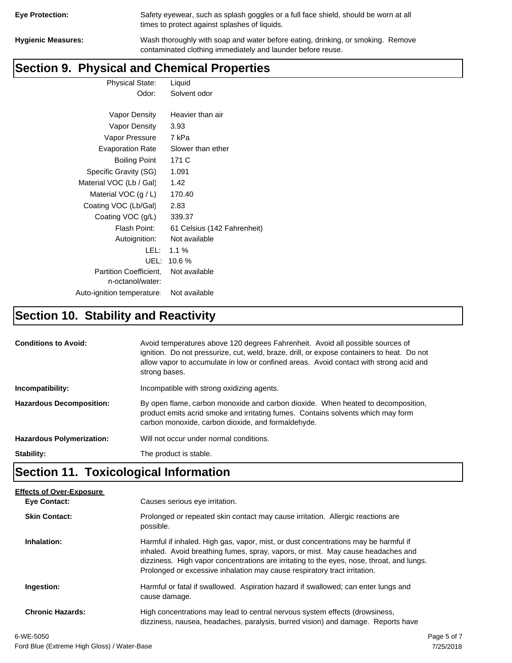| <b>Eye Protection:</b> |  |
|------------------------|--|
|                        |  |

Safety eyewear, such as splash goggles or a full face shield, should be worn at all times to protect against splashes of liquids.

**Hygienic Measures:** Wash thoroughly with soap and water before eating, drinking, or smoking. Remove contaminated clothing immediately and launder before reuse.

### **Section 9. Physical and Chemical Properties**

Physical State: Liquid Odor: Solvent odor

| Vapor Density                                     | Heavier than air            |
|---------------------------------------------------|-----------------------------|
| Vapor Density                                     | 3.93                        |
| Vapor Pressure                                    | 7 kPa                       |
| <b>Evaporation Rate</b>                           | Slower than ether           |
| <b>Boiling Point</b>                              | 171 C                       |
| Specific Gravity (SG)                             | 1.091                       |
| Material VOC (Lb / Gal)                           | 1.42                        |
| Material VOC $(g / L)$                            | 170.40                      |
| Coating VOC (Lb/Gal)                              | 2.83                        |
| Coating VOC (g/L)                                 | 339.37                      |
| Flash Point:                                      | 61 Celsius (142 Fahrenheit) |
| Autoignition:                                     | Not available               |
| LEL: I                                            | $1.1\%$                     |
| UEL:                                              | 10.6%                       |
| <b>Partition Coefficient.</b><br>n-octanol/water: | Not available               |
| Auto-ignition temperature:                        | Not available               |

# **Section 10. Stability and Reactivity**

| <b>Conditions to Avoid:</b>      | Avoid temperatures above 120 degrees Fahrenheit. Avoid all possible sources of<br>ignition. Do not pressurize, cut, weld, braze, drill, or expose containers to heat. Do not<br>allow vapor to accumulate in low or confined areas. Avoid contact with strong acid and<br>strong bases. |
|----------------------------------|-----------------------------------------------------------------------------------------------------------------------------------------------------------------------------------------------------------------------------------------------------------------------------------------|
| Incompatibility:                 | Incompatible with strong oxidizing agents.                                                                                                                                                                                                                                              |
| <b>Hazardous Decomposition:</b>  | By open flame, carbon monoxide and carbon dioxide. When heated to decomposition,<br>product emits acrid smoke and irritating fumes. Contains solvents which may form<br>carbon monoxide, carbon dioxide, and formaldehyde.                                                              |
| <b>Hazardous Polymerization:</b> | Will not occur under normal conditions.                                                                                                                                                                                                                                                 |
| Stability:                       | The product is stable.                                                                                                                                                                                                                                                                  |

# **Section 11. Toxicological Information**

| <b>Effects of Over-Exposure</b> |                                                                                                                                                                                                                                                                                                                                                  |             |
|---------------------------------|--------------------------------------------------------------------------------------------------------------------------------------------------------------------------------------------------------------------------------------------------------------------------------------------------------------------------------------------------|-------------|
| Eye Contact:                    | Causes serious eye irritation.                                                                                                                                                                                                                                                                                                                   |             |
| <b>Skin Contact:</b>            | Prolonged or repeated skin contact may cause irritation. Allergic reactions are<br>possible.                                                                                                                                                                                                                                                     |             |
| Inhalation:                     | Harmful if inhaled. High gas, vapor, mist, or dust concentrations may be harmful if<br>inhaled. Avoid breathing fumes, spray, vapors, or mist. May cause headaches and<br>dizziness. High vapor concentrations are irritating to the eyes, nose, throat, and lungs.<br>Prolonged or excessive inhalation may cause respiratory tract irritation. |             |
| Ingestion:                      | Harmful or fatal if swallowed. Aspiration hazard if swallowed; can enter lungs and<br>cause damage.                                                                                                                                                                                                                                              |             |
| <b>Chronic Hazards:</b>         | High concentrations may lead to central nervous system effects (drowsiness,<br>dizziness, nausea, headaches, paralysis, burred vision) and damage. Reports have                                                                                                                                                                                  |             |
| 6-WE-5050                       |                                                                                                                                                                                                                                                                                                                                                  | Page 5 of 7 |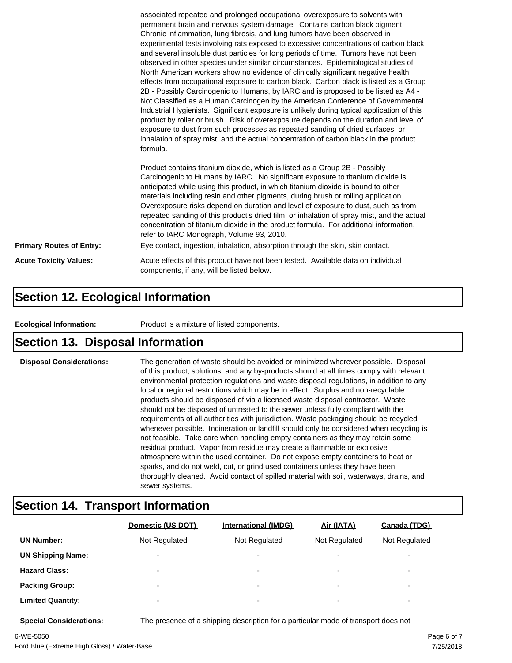|                                 | associated repeated and prolonged occupational overexposure to solvents with<br>permanent brain and nervous system damage. Contains carbon black pigment.<br>Chronic inflammation, lung fibrosis, and lung tumors have been observed in<br>experimental tests involving rats exposed to excessive concentrations of carbon black<br>and several insoluble dust particles for long periods of time. Tumors have not been<br>observed in other species under similar circumstances. Epidemiological studies of<br>North American workers show no evidence of clinically significant negative health<br>effects from occupational exposure to carbon black. Carbon black is listed as a Group<br>2B - Possibly Carcinogenic to Humans, by IARC and is proposed to be listed as A4 -<br>Not Classified as a Human Carcinogen by the American Conference of Governmental<br>Industrial Hygienists. Significant exposure is unlikely during typical application of this<br>product by roller or brush. Risk of overexposure depends on the duration and level of<br>exposure to dust from such processes as repeated sanding of dried surfaces, or<br>inhalation of spray mist, and the actual concentration of carbon black in the product<br>formula.<br>Product contains titanium dioxide, which is listed as a Group 2B - Possibly<br>Carcinogenic to Humans by IARC. No significant exposure to titanium dioxide is<br>anticipated while using this product, in which titanium dioxide is bound to other<br>materials including resin and other pigments, during brush or rolling application.<br>Overexposure risks depend on duration and level of exposure to dust, such as from |  |
|---------------------------------|------------------------------------------------------------------------------------------------------------------------------------------------------------------------------------------------------------------------------------------------------------------------------------------------------------------------------------------------------------------------------------------------------------------------------------------------------------------------------------------------------------------------------------------------------------------------------------------------------------------------------------------------------------------------------------------------------------------------------------------------------------------------------------------------------------------------------------------------------------------------------------------------------------------------------------------------------------------------------------------------------------------------------------------------------------------------------------------------------------------------------------------------------------------------------------------------------------------------------------------------------------------------------------------------------------------------------------------------------------------------------------------------------------------------------------------------------------------------------------------------------------------------------------------------------------------------------------------------------------------------------------------------------------------------------------|--|
|                                 | repeated sanding of this product's dried film, or inhalation of spray mist, and the actual<br>concentration of titanium dioxide in the product formula. For additional information,<br>refer to IARC Monograph, Volume 93, 2010.                                                                                                                                                                                                                                                                                                                                                                                                                                                                                                                                                                                                                                                                                                                                                                                                                                                                                                                                                                                                                                                                                                                                                                                                                                                                                                                                                                                                                                                   |  |
| <b>Primary Routes of Entry:</b> | Eye contact, ingestion, inhalation, absorption through the skin, skin contact.                                                                                                                                                                                                                                                                                                                                                                                                                                                                                                                                                                                                                                                                                                                                                                                                                                                                                                                                                                                                                                                                                                                                                                                                                                                                                                                                                                                                                                                                                                                                                                                                     |  |
| <b>Acute Toxicity Values:</b>   | Acute effects of this product have not been tested. Available data on individual<br>components, if any, will be listed below.                                                                                                                                                                                                                                                                                                                                                                                                                                                                                                                                                                                                                                                                                                                                                                                                                                                                                                                                                                                                                                                                                                                                                                                                                                                                                                                                                                                                                                                                                                                                                      |  |

#### **Section 12. Ecological Information**

**Ecological Information:** Product is a mixture of listed components.

#### **Section 13. Disposal Information**

**Disposal Considerations:** The generation of waste should be avoided or minimized wherever possible. Disposal of this product, solutions, and any by-products should at all times comply with relevant environmental protection regulations and waste disposal regulations, in addition to any local or regional restrictions which may be in effect. Surplus and non-recyclable products should be disposed of via a licensed waste disposal contractor. Waste should not be disposed of untreated to the sewer unless fully compliant with the requirements of all authorities with jurisdiction. Waste packaging should be recycled whenever possible. Incineration or landfill should only be considered when recycling is not feasible. Take care when handling empty containers as they may retain some residual product. Vapor from residue may create a flammable or explosive atmosphere within the used container. Do not expose empty containers to heat or sparks, and do not weld, cut, or grind used containers unless they have been thoroughly cleaned. Avoid contact of spilled material with soil, waterways, drains, and sewer systems.

#### **Section 14. Transport Information**

|                          | Domestic (US DOT)        | <b>International (IMDG)</b> | Air (IATA)               | Canada (TDG)             |
|--------------------------|--------------------------|-----------------------------|--------------------------|--------------------------|
| <b>UN Number:</b>        | Not Regulated            | Not Regulated               | Not Regulated            | Not Regulated            |
| <b>UN Shipping Name:</b> | $\overline{\phantom{0}}$ | $\overline{\phantom{0}}$    | $\overline{\phantom{0}}$ | ٠                        |
| <b>Hazard Class:</b>     | $\overline{\phantom{0}}$ | $\overline{\phantom{a}}$    | $\overline{\phantom{0}}$ | $\overline{\phantom{a}}$ |
| <b>Packing Group:</b>    | $\overline{\phantom{0}}$ | ۰                           | $\overline{\phantom{0}}$ | ٠                        |
| <b>Limited Quantity:</b> | $\overline{\phantom{0}}$ | ۰                           | $\overline{\phantom{0}}$ | ۰                        |

**Special Considerations:** The presence of a shipping description for a particular mode of transport does not